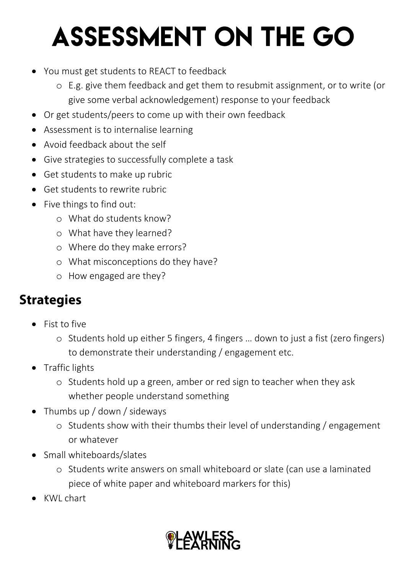## **ASSESSMENT ON THE GO**

- You must get students to REACT to feedback
	- o E.g. give them feedback and get them to resubmit assignment, or to write (or give some verbal acknowledgement) response to your feedback
- Or get students/peers to come up with their own feedback
- Assessment is to internalise learning
- Avoid feedback about the self
- Give strategies to successfully complete a task
- Get students to make up rubric
- Get students to rewrite rubric
- Five things to find out:
	- o What do students know?
	- o What have they learned?
	- o Where do they make errors?
	- o What misconceptions do they have?
	- o How engaged are they?

## **Strategies**

- Fist to five
	- o Students hold up either 5 fingers, 4 fingers … down to just a fist (zero fingers) to demonstrate their understanding / engagement etc.
- Traffic lights
	- o Students hold up a green, amber or red sign to teacher when they ask whether people understand something
- Thumbs up / down / sideways
	- o Students show with their thumbs their level of understanding / engagement or whatever
- Small whiteboards/slates
	- o Students write answers on small whiteboard or slate (can use a laminated piece of white paper and whiteboard markers for this)
- KWL chart